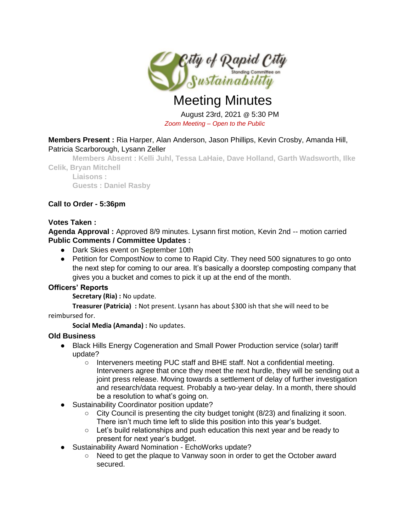

# Meeting Minutes

August 23rd, 2021 @ 5:30 PM *Zoom Meeting – Open to the Public* 

# **Members Present :** Ria Harper, Alan Anderson, Jason Phillips, Kevin Crosby, Amanda Hill, Patricia Scarborough, Lysann Zeller

**Members Absent : Kelli Juhl, Tessa LaHaie, Dave Holland, Garth Wadsworth, Ilke Celik, Bryan Mitchell**

**Liaisons : Guests : Daniel Rasby**

# **Call to Order - 5:36pm**

## **Votes Taken :**

**Agenda Approval :** Approved 8/9 minutes. Lysann first motion, Kevin 2nd -- motion carried **Public Comments / Committee Updates :** 

- Dark Skies event on September 10th
- Petition for CompostNow to come to Rapid City. They need 500 signatures to go onto the next step for coming to our area. It's basically a doorstep composting company that gives you a bucket and comes to pick it up at the end of the month.

# **Officers' Reports**

**Secretary (Ria) :** No update.

**Treasurer (Patricia) :** Not present. Lysann has about \$300 ish that she will need to be reimbursed for.

**Social Media (Amanda) :** No updates.

# **Old Business**

- Black Hills Energy Cogeneration and Small Power Production service (solar) tariff update?
	- Interveners meeting PUC staff and BHE staff. Not a confidential meeting. Interveners agree that once they meet the next hurdle, they will be sending out a joint press release. Moving towards a settlement of delay of further investigation and research/data request. Probably a two-year delay. In a month, there should be a resolution to what's going on.
- Sustainability Coordinator position update?
	- City Council is presenting the city budget tonight (8/23) and finalizing it soon. There isn't much time left to slide this position into this year's budget.
	- $\circ$  Let's build relationships and push education this next year and be ready to present for next year's budget.
- Sustainability Award Nomination EchoWorks update?
	- Need to get the plaque to Vanway soon in order to get the October award secured.